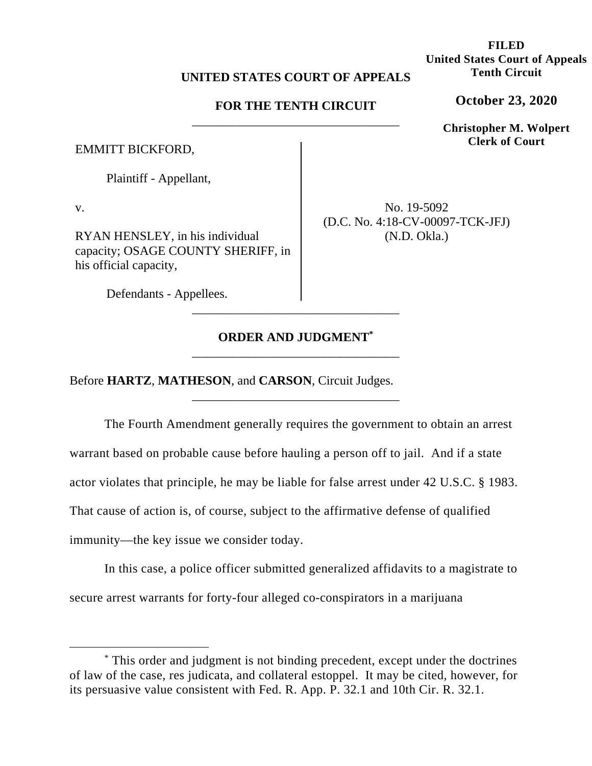## **UNITED STATES COURT OF APPEALS**

# **FOR THE TENTH CIRCUIT**  \_\_\_\_\_\_\_\_\_\_\_\_\_\_\_\_\_\_\_\_\_\_\_\_\_\_\_\_\_\_\_\_\_

EMMITT BICKFORD,

Plaintiff - Appellant,

v.

RYAN HENSLEY, in his individual capacity; OSAGE COUNTY SHERIFF, in his official capacity,

No. 19-5092 (D.C. No. 4:18-CV-00097-TCK-JFJ) (N.D. Okla.)

Defendants - Appellees.

# **ORDER AND JUDGMENT\*** \_\_\_\_\_\_\_\_\_\_\_\_\_\_\_\_\_\_\_\_\_\_\_\_\_\_\_\_\_\_\_\_\_

\_\_\_\_\_\_\_\_\_\_\_\_\_\_\_\_\_\_\_\_\_\_\_\_\_\_\_\_\_\_\_\_\_

\_\_\_\_\_\_\_\_\_\_\_\_\_\_\_\_\_\_\_\_\_\_\_\_\_\_\_\_\_\_\_\_\_

Before **HARTZ**, **MATHESON**, and **CARSON**, Circuit Judges.

The Fourth Amendment generally requires the government to obtain an arrest warrant based on probable cause before hauling a person off to jail. And if a state actor violates that principle, he may be liable for false arrest under 42 U.S.C. § 1983. That cause of action is, of course, subject to the affirmative defense of qualified immunity—the key issue we consider today.

In this case, a police officer submitted generalized affidavits to a magistrate to secure arrest warrants for forty-four alleged co-conspirators in a marijuana

**FILED United States Court of Appeals Tenth Circuit** 

**October 23, 2020**

**Christopher M. Wolpert Clerk of Court**

<sup>\*</sup> This order and judgment is not binding precedent, except under the doctrines of law of the case, res judicata, and collateral estoppel. It may be cited, however, for its persuasive value consistent with Fed. R. App. P. 32.1 and 10th Cir. R. 32.1.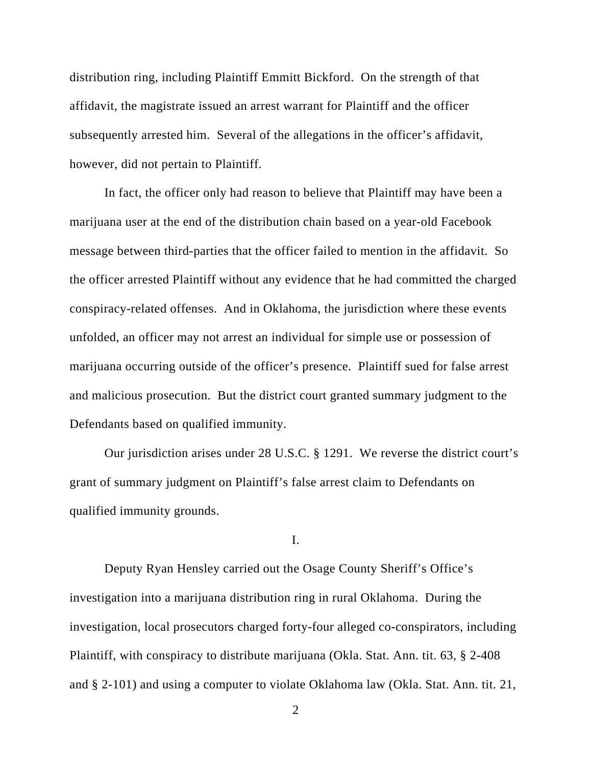distribution ring, including Plaintiff Emmitt Bickford. On the strength of that affidavit, the magistrate issued an arrest warrant for Plaintiff and the officer subsequently arrested him. Several of the allegations in the officer's affidavit, however, did not pertain to Plaintiff.

In fact, the officer only had reason to believe that Plaintiff may have been a marijuana user at the end of the distribution chain based on a year-old Facebook message between third-parties that the officer failed to mention in the affidavit. So the officer arrested Plaintiff without any evidence that he had committed the charged conspiracy-related offenses. And in Oklahoma, the jurisdiction where these events unfolded, an officer may not arrest an individual for simple use or possession of marijuana occurring outside of the officer's presence. Plaintiff sued for false arrest and malicious prosecution. But the district court granted summary judgment to the Defendants based on qualified immunity.

Our jurisdiction arises under 28 U.S.C. § 1291. We reverse the district court's grant of summary judgment on Plaintiff's false arrest claim to Defendants on qualified immunity grounds.

I.

Deputy Ryan Hensley carried out the Osage County Sheriff's Office's investigation into a marijuana distribution ring in rural Oklahoma. During the investigation, local prosecutors charged forty-four alleged co-conspirators, including Plaintiff, with conspiracy to distribute marijuana (Okla. Stat. Ann. tit. 63, § 2-408 and § 2-101) and using a computer to violate Oklahoma law (Okla. Stat. Ann. tit. 21,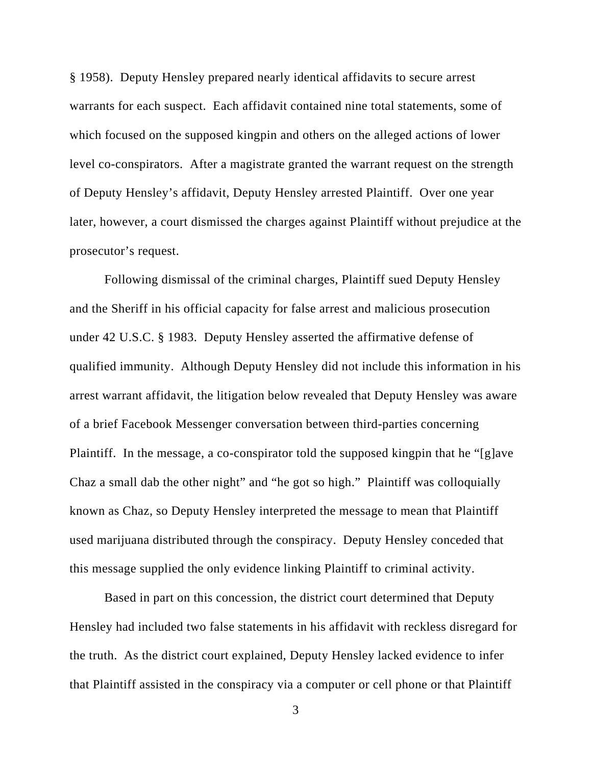§ 1958). Deputy Hensley prepared nearly identical affidavits to secure arrest warrants for each suspect. Each affidavit contained nine total statements, some of which focused on the supposed kingpin and others on the alleged actions of lower level co-conspirators. After a magistrate granted the warrant request on the strength of Deputy Hensley's affidavit, Deputy Hensley arrested Plaintiff. Over one year later, however, a court dismissed the charges against Plaintiff without prejudice at the prosecutor's request.

Following dismissal of the criminal charges, Plaintiff sued Deputy Hensley and the Sheriff in his official capacity for false arrest and malicious prosecution under 42 U.S.C. § 1983. Deputy Hensley asserted the affirmative defense of qualified immunity. Although Deputy Hensley did not include this information in his arrest warrant affidavit, the litigation below revealed that Deputy Hensley was aware of a brief Facebook Messenger conversation between third-parties concerning Plaintiff. In the message, a co-conspirator told the supposed kingpin that he "[g]ave Chaz a small dab the other night" and "he got so high." Plaintiff was colloquially known as Chaz, so Deputy Hensley interpreted the message to mean that Plaintiff used marijuana distributed through the conspiracy. Deputy Hensley conceded that this message supplied the only evidence linking Plaintiff to criminal activity.

Based in part on this concession, the district court determined that Deputy Hensley had included two false statements in his affidavit with reckless disregard for the truth. As the district court explained, Deputy Hensley lacked evidence to infer that Plaintiff assisted in the conspiracy via a computer or cell phone or that Plaintiff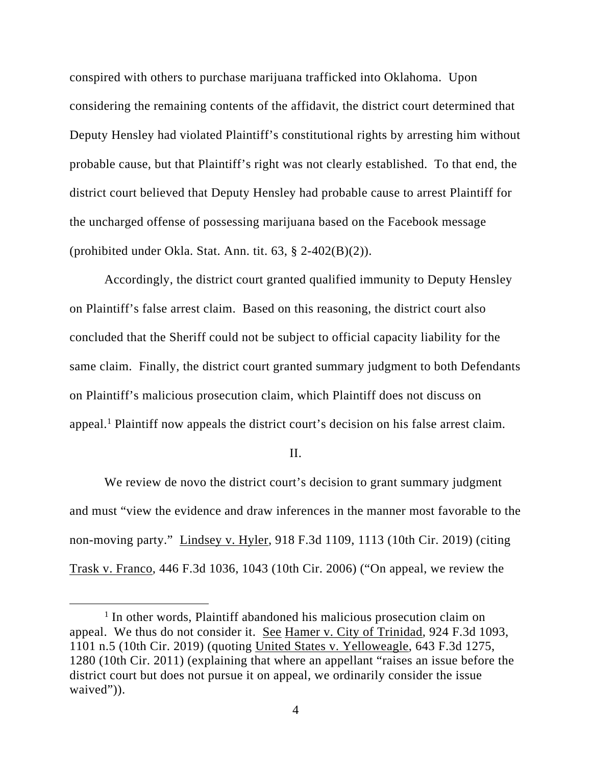conspired with others to purchase marijuana trafficked into Oklahoma. Upon considering the remaining contents of the affidavit, the district court determined that Deputy Hensley had violated Plaintiff's constitutional rights by arresting him without probable cause, but that Plaintiff's right was not clearly established. To that end, the district court believed that Deputy Hensley had probable cause to arrest Plaintiff for the uncharged offense of possessing marijuana based on the Facebook message (prohibited under Okla. Stat. Ann. tit. 63, § 2-402(B)(2)).

Accordingly, the district court granted qualified immunity to Deputy Hensley on Plaintiff's false arrest claim. Based on this reasoning, the district court also concluded that the Sheriff could not be subject to official capacity liability for the same claim. Finally, the district court granted summary judgment to both Defendants on Plaintiff's malicious prosecution claim, which Plaintiff does not discuss on appeal.<sup>1</sup> Plaintiff now appeals the district court's decision on his false arrest claim.

#### II.

We review de novo the district court's decision to grant summary judgment and must "view the evidence and draw inferences in the manner most favorable to the non-moving party." Lindsey v. Hyler, 918 F.3d 1109, 1113 (10th Cir. 2019) (citing Trask v. Franco, 446 F.3d 1036, 1043 (10th Cir. 2006) ("On appeal, we review the

<sup>&</sup>lt;sup>1</sup> In other words, Plaintiff abandoned his malicious prosecution claim on appeal. We thus do not consider it. See Hamer v. City of Trinidad, 924 F.3d 1093, 1101 n.5 (10th Cir. 2019) (quoting United States v. Yelloweagle, 643 F.3d 1275, 1280 (10th Cir. 2011) (explaining that where an appellant "raises an issue before the district court but does not pursue it on appeal, we ordinarily consider the issue waived")).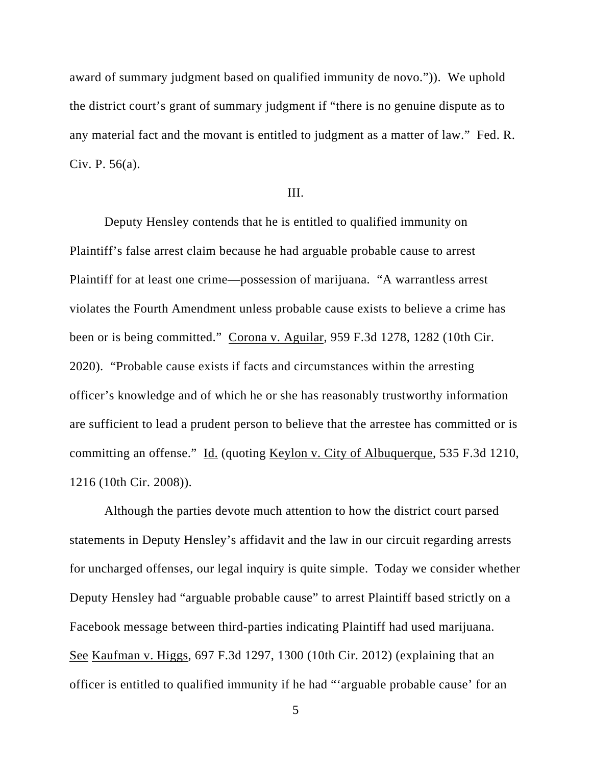award of summary judgment based on qualified immunity de novo.")). We uphold the district court's grant of summary judgment if "there is no genuine dispute as to any material fact and the movant is entitled to judgment as a matter of law." Fed. R. Civ. P. 56(a).

## III.

Deputy Hensley contends that he is entitled to qualified immunity on Plaintiff's false arrest claim because he had arguable probable cause to arrest Plaintiff for at least one crime—possession of marijuana. "A warrantless arrest violates the Fourth Amendment unless probable cause exists to believe a crime has been or is being committed." Corona v. Aguilar, 959 F.3d 1278, 1282 (10th Cir. 2020). "Probable cause exists if facts and circumstances within the arresting officer's knowledge and of which he or she has reasonably trustworthy information are sufficient to lead a prudent person to believe that the arrestee has committed or is committing an offense." Id. (quoting Keylon v. City of Albuquerque, 535 F.3d 1210, 1216 (10th Cir. 2008)).

Although the parties devote much attention to how the district court parsed statements in Deputy Hensley's affidavit and the law in our circuit regarding arrests for uncharged offenses, our legal inquiry is quite simple. Today we consider whether Deputy Hensley had "arguable probable cause" to arrest Plaintiff based strictly on a Facebook message between third-parties indicating Plaintiff had used marijuana. See Kaufman v. Higgs, 697 F.3d 1297, 1300 (10th Cir. 2012) (explaining that an officer is entitled to qualified immunity if he had "'arguable probable cause' for an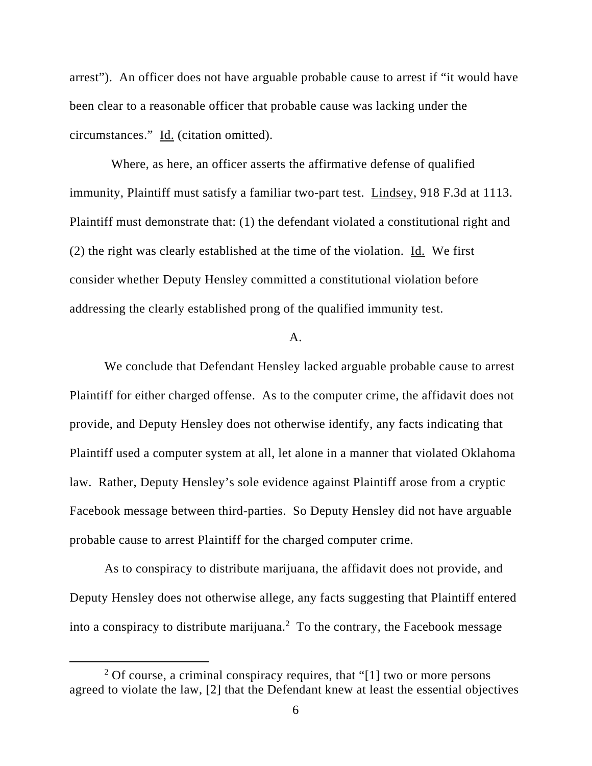arrest"). An officer does not have arguable probable cause to arrest if "it would have been clear to a reasonable officer that probable cause was lacking under the circumstances." Id. (citation omitted).

 Where, as here, an officer asserts the affirmative defense of qualified immunity, Plaintiff must satisfy a familiar two-part test. Lindsey, 918 F.3d at 1113. Plaintiff must demonstrate that: (1) the defendant violated a constitutional right and (2) the right was clearly established at the time of the violation. Id. We first consider whether Deputy Hensley committed a constitutional violation before addressing the clearly established prong of the qualified immunity test.

## A.

We conclude that Defendant Hensley lacked arguable probable cause to arrest Plaintiff for either charged offense. As to the computer crime, the affidavit does not provide, and Deputy Hensley does not otherwise identify, any facts indicating that Plaintiff used a computer system at all, let alone in a manner that violated Oklahoma law. Rather, Deputy Hensley's sole evidence against Plaintiff arose from a cryptic Facebook message between third-parties. So Deputy Hensley did not have arguable probable cause to arrest Plaintiff for the charged computer crime.

As to conspiracy to distribute marijuana, the affidavit does not provide, and Deputy Hensley does not otherwise allege, any facts suggesting that Plaintiff entered into a conspiracy to distribute marijuana.<sup>2</sup> To the contrary, the Facebook message

<sup>&</sup>lt;sup>2</sup> Of course, a criminal conspiracy requires, that "[1] two or more persons agreed to violate the law, [2] that the Defendant knew at least the essential objectives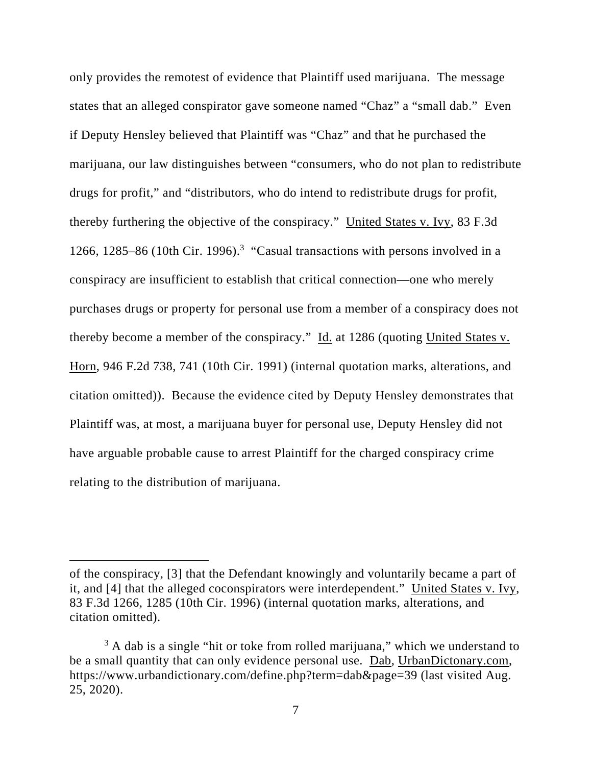only provides the remotest of evidence that Plaintiff used marijuana. The message states that an alleged conspirator gave someone named "Chaz" a "small dab." Even if Deputy Hensley believed that Plaintiff was "Chaz" and that he purchased the marijuana, our law distinguishes between "consumers, who do not plan to redistribute drugs for profit," and "distributors, who do intend to redistribute drugs for profit, thereby furthering the objective of the conspiracy." United States v. Ivy, 83 F.3d 1266, 1285–86 (10th Cir. 1996).<sup>3</sup> "Casual transactions with persons involved in a conspiracy are insufficient to establish that critical connection—one who merely purchases drugs or property for personal use from a member of a conspiracy does not thereby become a member of the conspiracy." Id. at 1286 (quoting United States v. Horn, 946 F.2d 738, 741 (10th Cir. 1991) (internal quotation marks, alterations, and citation omitted)). Because the evidence cited by Deputy Hensley demonstrates that Plaintiff was, at most, a marijuana buyer for personal use, Deputy Hensley did not have arguable probable cause to arrest Plaintiff for the charged conspiracy crime relating to the distribution of marijuana.

of the conspiracy, [3] that the Defendant knowingly and voluntarily became a part of it, and [4] that the alleged coconspirators were interdependent." United States v. Ivy, 83 F.3d 1266, 1285 (10th Cir. 1996) (internal quotation marks, alterations, and citation omitted).

<sup>&</sup>lt;sup>3</sup> A dab is a single "hit or toke from rolled marijuana," which we understand to be a small quantity that can only evidence personal use. Dab, UrbanDictonary.com, https://www.urbandictionary.com/define.php?term=dab&page=39 (last visited Aug. 25, 2020).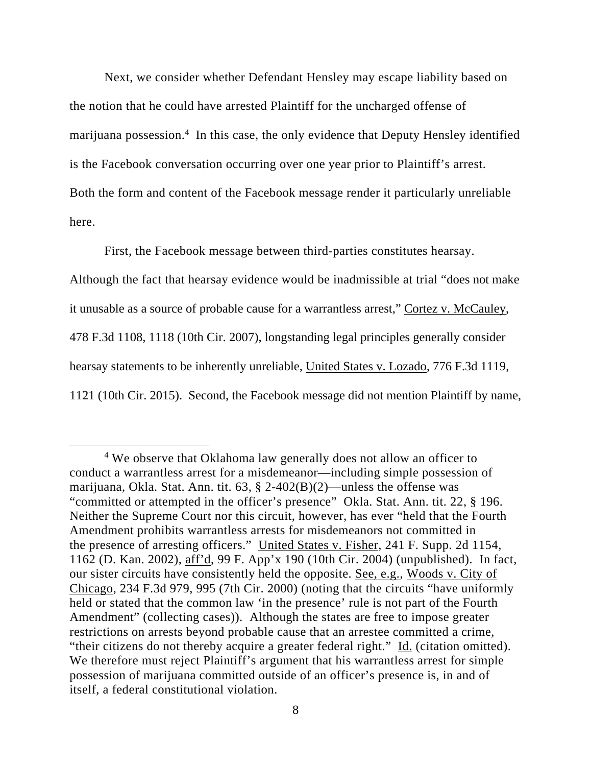Next, we consider whether Defendant Hensley may escape liability based on the notion that he could have arrested Plaintiff for the uncharged offense of marijuana possession.<sup>4</sup> In this case, the only evidence that Deputy Hensley identified is the Facebook conversation occurring over one year prior to Plaintiff's arrest. Both the form and content of the Facebook message render it particularly unreliable here.

First, the Facebook message between third-parties constitutes hearsay.

Although the fact that hearsay evidence would be inadmissible at trial "does not make it unusable as a source of probable cause for a warrantless arrest," Cortez v. McCauley, 478 F.3d 1108, 1118 (10th Cir. 2007), longstanding legal principles generally consider hearsay statements to be inherently unreliable, United States v. Lozado, 776 F.3d 1119, 1121 (10th Cir. 2015). Second, the Facebook message did not mention Plaintiff by name,

<sup>&</sup>lt;sup>4</sup> We observe that Oklahoma law generally does not allow an officer to conduct a warrantless arrest for a misdemeanor—including simple possession of marijuana, Okla. Stat. Ann. tit. 63, § 2-402(B)(2)—unless the offense was "committed or attempted in the officer's presence" Okla. Stat. Ann. tit. 22, § 196. Neither the Supreme Court nor this circuit, however, has ever "held that the Fourth Amendment prohibits warrantless arrests for misdemeanors not committed in the presence of arresting officers." United States v. Fisher, 241 F. Supp. 2d 1154, 1162 (D. Kan. 2002), aff'd, 99 F. App'x 190 (10th Cir. 2004) (unpublished). In fact, our sister circuits have consistently held the opposite. See, e.g., Woods v. City of Chicago, 234 F.3d 979, 995 (7th Cir. 2000) (noting that the circuits "have uniformly held or stated that the common law 'in the presence' rule is not part of the Fourth Amendment" (collecting cases)). Although the states are free to impose greater restrictions on arrests beyond probable cause that an arrestee committed a crime, "their citizens do not thereby acquire a greater federal right." Id. (citation omitted). We therefore must reject Plaintiff's argument that his warrantless arrest for simple possession of marijuana committed outside of an officer's presence is, in and of itself, a federal constitutional violation.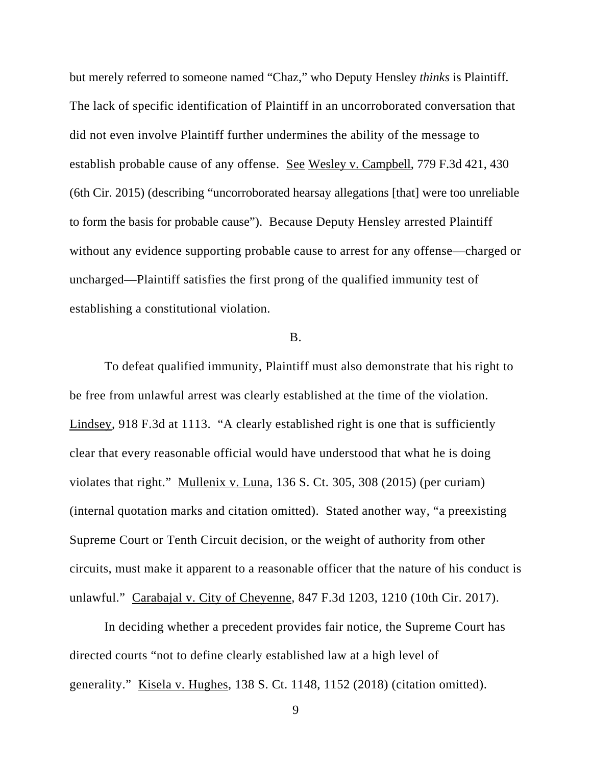but merely referred to someone named "Chaz," who Deputy Hensley *thinks* is Plaintiff. The lack of specific identification of Plaintiff in an uncorroborated conversation that did not even involve Plaintiff further undermines the ability of the message to establish probable cause of any offense. <u>See Wesley v. Campbell</u>, 779 F.3d 421, 430 (6th Cir. 2015) (describing "uncorroborated hearsay allegations [that] were too unreliable to form the basis for probable cause"). Because Deputy Hensley arrested Plaintiff without any evidence supporting probable cause to arrest for any offense—charged or uncharged—Plaintiff satisfies the first prong of the qualified immunity test of establishing a constitutional violation.

### B.

 To defeat qualified immunity, Plaintiff must also demonstrate that his right to be free from unlawful arrest was clearly established at the time of the violation. Lindsey, 918 F.3d at 1113. "A clearly established right is one that is sufficiently clear that every reasonable official would have understood that what he is doing violates that right." Mullenix v. Luna, 136 S. Ct. 305, 308 (2015) (per curiam) (internal quotation marks and citation omitted). Stated another way, "a preexisting Supreme Court or Tenth Circuit decision, or the weight of authority from other circuits, must make it apparent to a reasonable officer that the nature of his conduct is unlawful." Carabajal v. City of Cheyenne, 847 F.3d 1203, 1210 (10th Cir. 2017).

In deciding whether a precedent provides fair notice, the Supreme Court has directed courts "not to define clearly established law at a high level of generality." Kisela v. Hughes, 138 S. Ct. 1148, 1152 (2018) (citation omitted).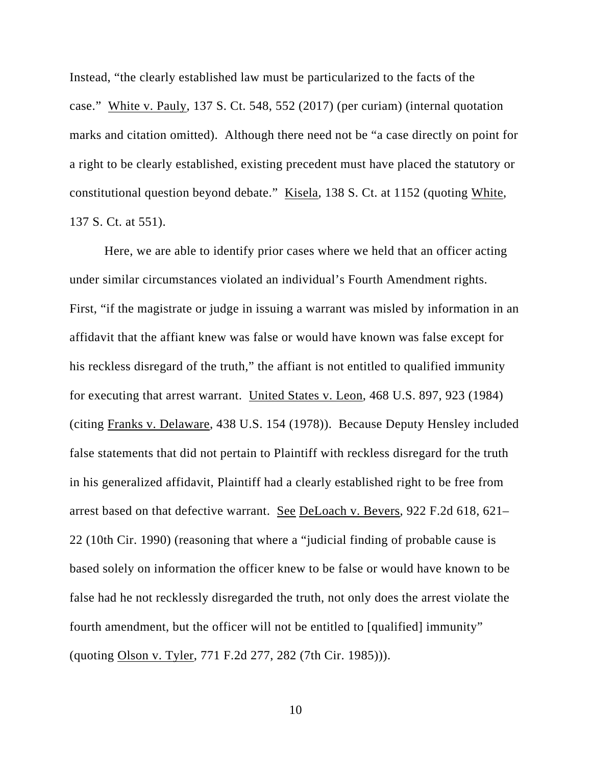Instead, "the clearly established law must be particularized to the facts of the case." White v. Pauly, 137 S. Ct. 548, 552 (2017) (per curiam) (internal quotation marks and citation omitted). Although there need not be "a case directly on point for a right to be clearly established, existing precedent must have placed the statutory or constitutional question beyond debate." Kisela, 138 S. Ct. at 1152 (quoting White, 137 S. Ct. at 551).

Here, we are able to identify prior cases where we held that an officer acting under similar circumstances violated an individual's Fourth Amendment rights. First, "if the magistrate or judge in issuing a warrant was misled by information in an affidavit that the affiant knew was false or would have known was false except for his reckless disregard of the truth," the affiant is not entitled to qualified immunity for executing that arrest warrant. United States v. Leon, 468 U.S. 897, 923 (1984) (citing Franks v. Delaware, 438 U.S. 154 (1978)). Because Deputy Hensley included false statements that did not pertain to Plaintiff with reckless disregard for the truth in his generalized affidavit, Plaintiff had a clearly established right to be free from arrest based on that defective warrant. See DeLoach v. Bevers, 922 F.2d 618, 621– 22 (10th Cir. 1990) (reasoning that where a "judicial finding of probable cause is based solely on information the officer knew to be false or would have known to be false had he not recklessly disregarded the truth, not only does the arrest violate the fourth amendment, but the officer will not be entitled to [qualified] immunity" (quoting Olson v. Tyler, 771 F.2d 277, 282 (7th Cir. 1985))).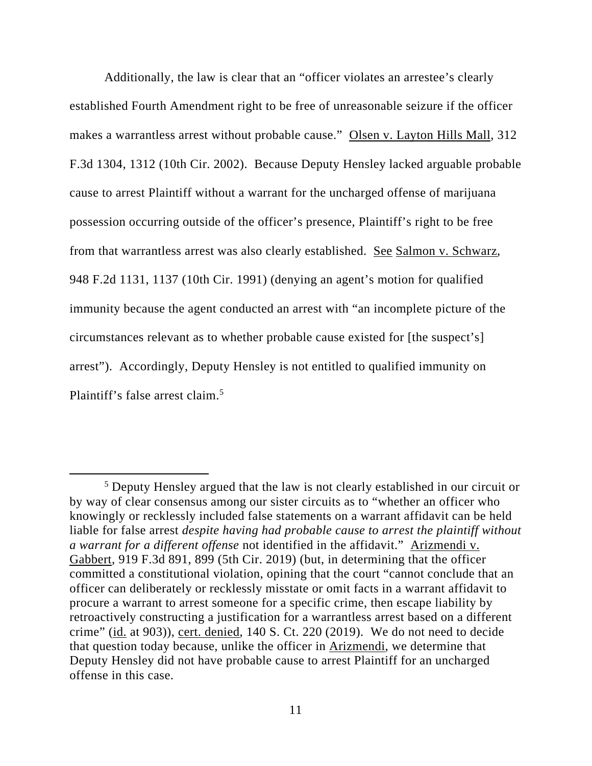Additionally, the law is clear that an "officer violates an arrestee's clearly established Fourth Amendment right to be free of unreasonable seizure if the officer makes a warrantless arrest without probable cause." Olsen v. Layton Hills Mall, 312 F.3d 1304, 1312 (10th Cir. 2002). Because Deputy Hensley lacked arguable probable cause to arrest Plaintiff without a warrant for the uncharged offense of marijuana possession occurring outside of the officer's presence, Plaintiff's right to be free from that warrantless arrest was also clearly established. See Salmon v. Schwarz, 948 F.2d 1131, 1137 (10th Cir. 1991) (denying an agent's motion for qualified immunity because the agent conducted an arrest with "an incomplete picture of the circumstances relevant as to whether probable cause existed for [the suspect's] arrest"). Accordingly, Deputy Hensley is not entitled to qualified immunity on Plaintiff's false arrest claim.<sup>5</sup>

<sup>&</sup>lt;sup>5</sup> Deputy Hensley argued that the law is not clearly established in our circuit or by way of clear consensus among our sister circuits as to "whether an officer who knowingly or recklessly included false statements on a warrant affidavit can be held liable for false arrest *despite having had probable cause to arrest the plaintiff without a warrant for a different offense* not identified in the affidavit." Arizmendi v. Gabbert, 919 F.3d 891, 899 (5th Cir. 2019) (but, in determining that the officer committed a constitutional violation, opining that the court "cannot conclude that an officer can deliberately or recklessly misstate or omit facts in a warrant affidavit to procure a warrant to arrest someone for a specific crime, then escape liability by retroactively constructing a justification for a warrantless arrest based on a different crime" (id. at 903)), cert. denied, 140 S. Ct. 220 (2019). We do not need to decide that question today because, unlike the officer in Arizmendi, we determine that Deputy Hensley did not have probable cause to arrest Plaintiff for an uncharged offense in this case.